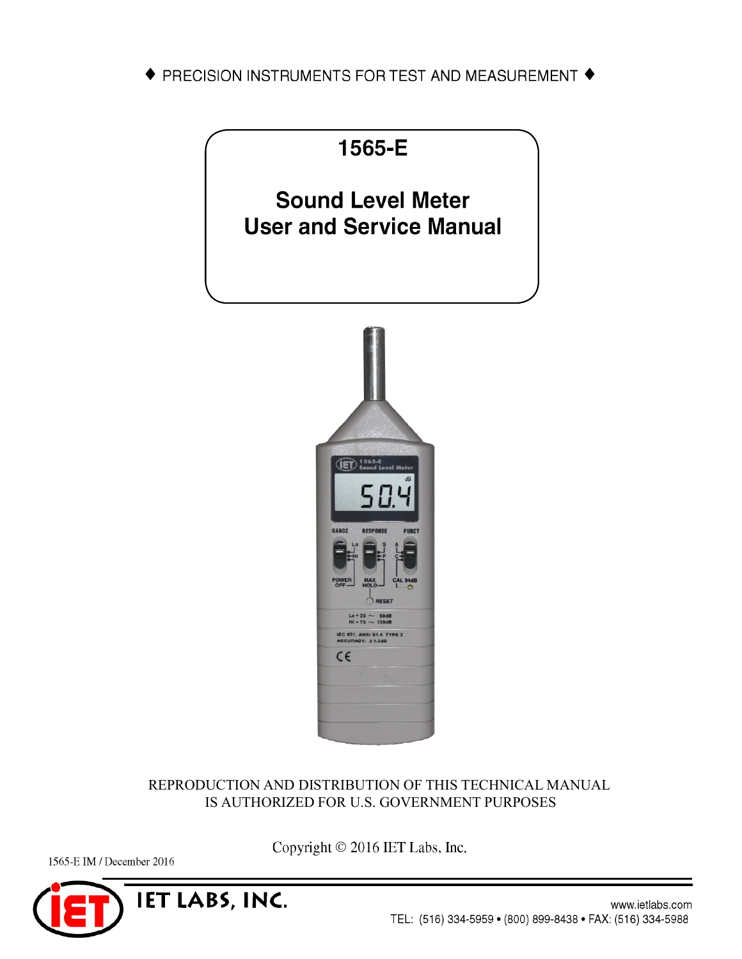

## REPRODUCTION AND DISTRIBUTION OF THIS TECHNICAL MANUAL IS AUTHORIZED FOR U.S. GOVERNMENT PURPOSES

Copyright © 2016 IET Labs, Inc.



1565-E IM / December 2016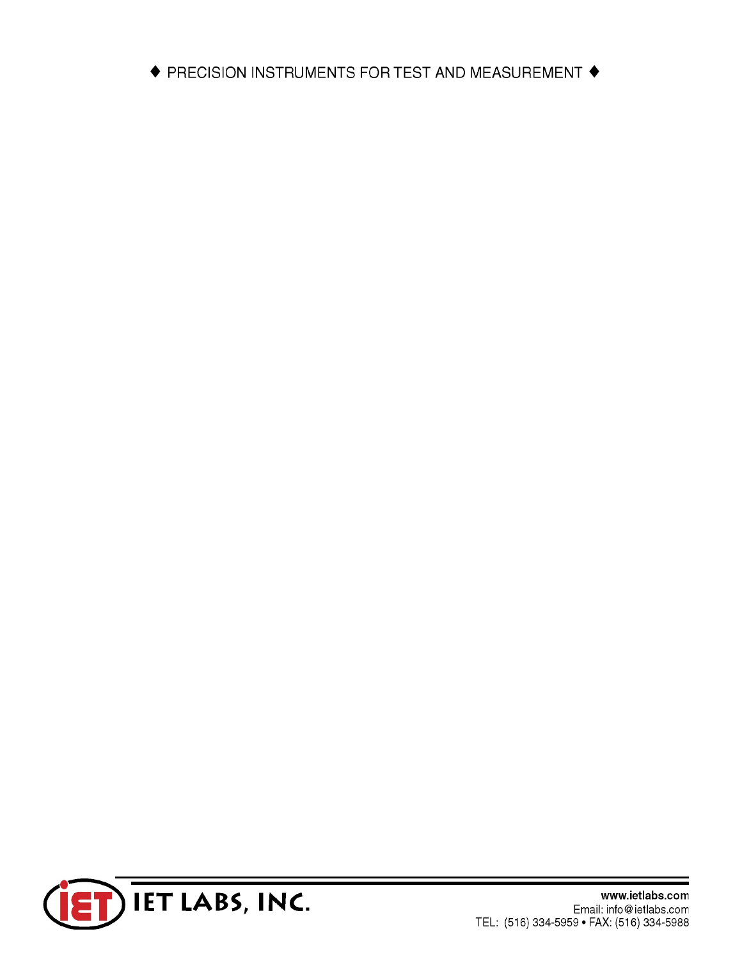♦ PRECISION INSTRUMENTS FOR TEST AND MEASUREMENT ♦

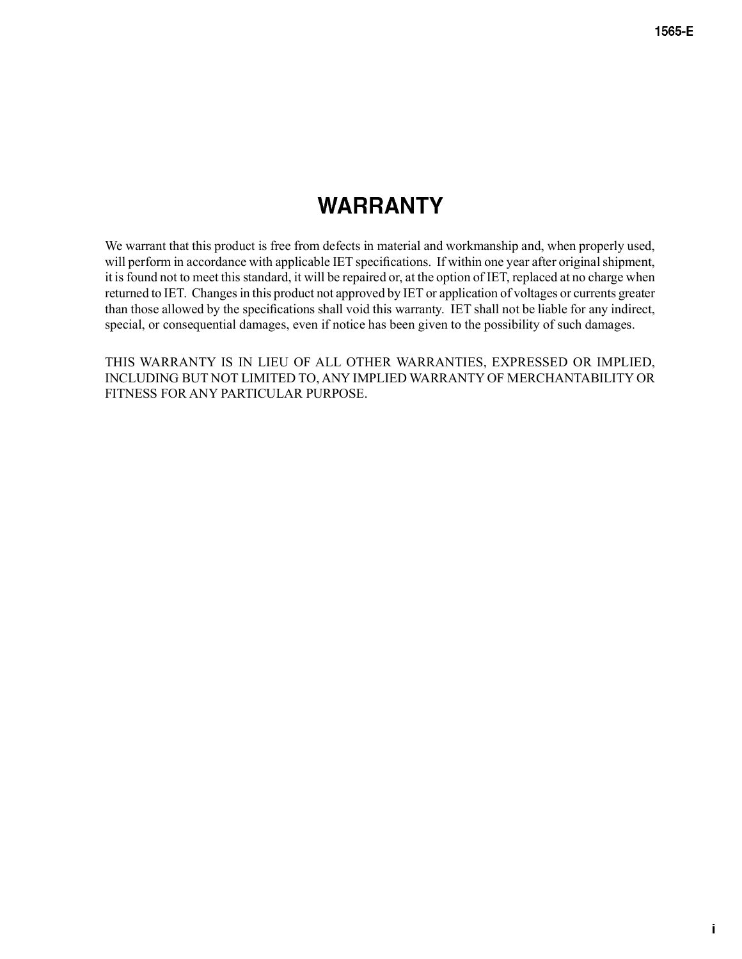# **WARRANTY**

We warrant that this product is free from defects in material and workmanship and, when properly used, will perform in accordance with applicable IET specifications. If within one year after original shipment, it is found not to meet this standard, it will be repaired or, at the option of IET, replaced at no charge when returned to IET. Changes in this product not approved by IET or application of voltages or currents greater than those allowed by the specifications shall void this warranty. IET shall not be liable for any indirect, special, or consequential damages, even if notice has been given to the possibility of such damages.

THIS WARRANTY IS IN LIEU OF ALL OTHER WARRANTIES, EXPRESSED OR IMPLIED, INCLUDING BUT NOT LIMITED TO, ANY IMPLIED WARRANTY OF MERCHANTABILITY OR FITNESS FOR ANY PARTICULAR PURPOSE.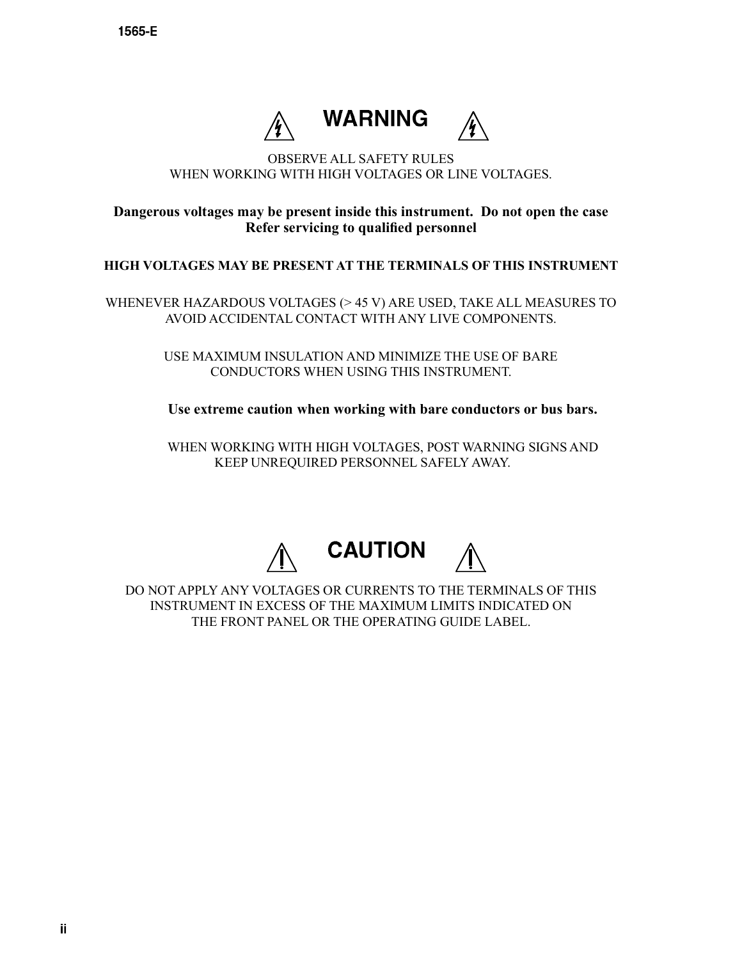

#### OBSERVE ALL SAFETY RULES WHEN WORKING WITH HIGH VOLTAGES OR LINE VOLTAGES.

#### **Dangerous voltages may be present inside this instrument. Do not open the case Refer servicing to qualified personnel**

#### **HIGH VOLTAGES MAY BE PRESENT AT THE TERMINALS OF THIS INSTRUMENT**

WHENEVER HAZARDOUS VOLTAGES (> 45 V) ARE USED, TAKE ALL MEASURES TO AVOID ACCIDENTAL CONTACT WITH ANY LIVE COMPONENTS.

> USE MAXIMUM INSULATION AND MINIMIZE THE USE OF BARE CONDUCTORS WHEN USING THIS INSTRUMENT.

**Use extreme caution when working with bare conductors or bus bars.**

 WHEN WORKING WITH HIGH VOLTAGES, POST WARNING SIGNS AND KEEP UNREQUIRED PERSONNEL SAFELY AWAY.



DO NOT APPLY ANY VOLTAGES OR CURRENTS TO THE TERMINALS OF THIS INSTRUMENT IN EXCESS OF THE MAXIMUM LIMITS INDICATED ON THE FRONT PANEL OR THE OPERATING GUIDE LABEL.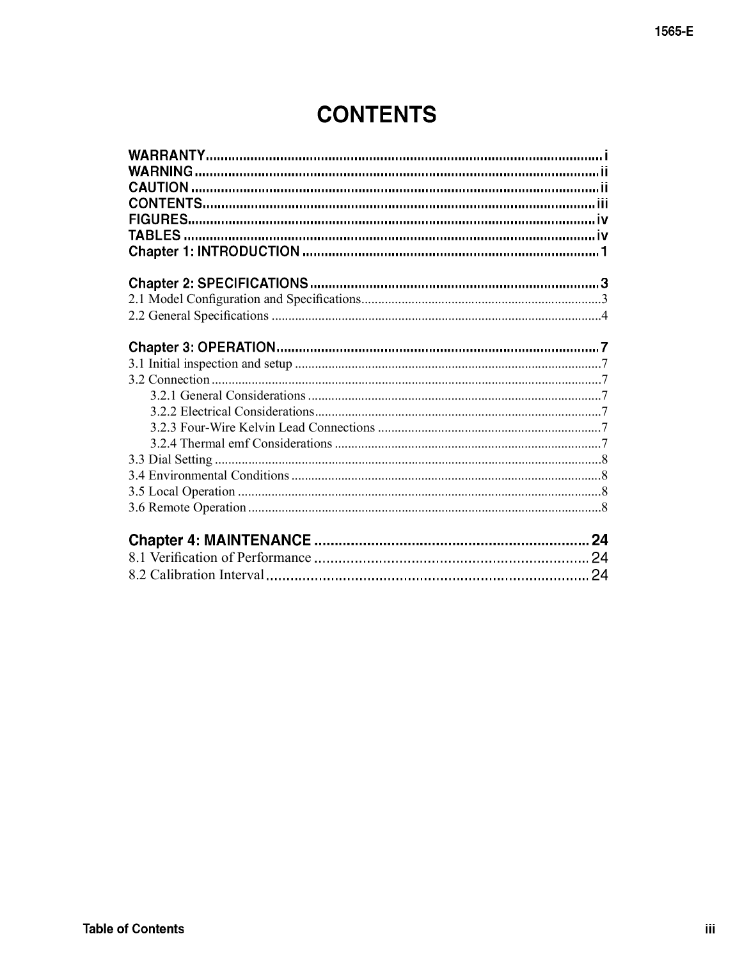# **CONTENTS**

1565-E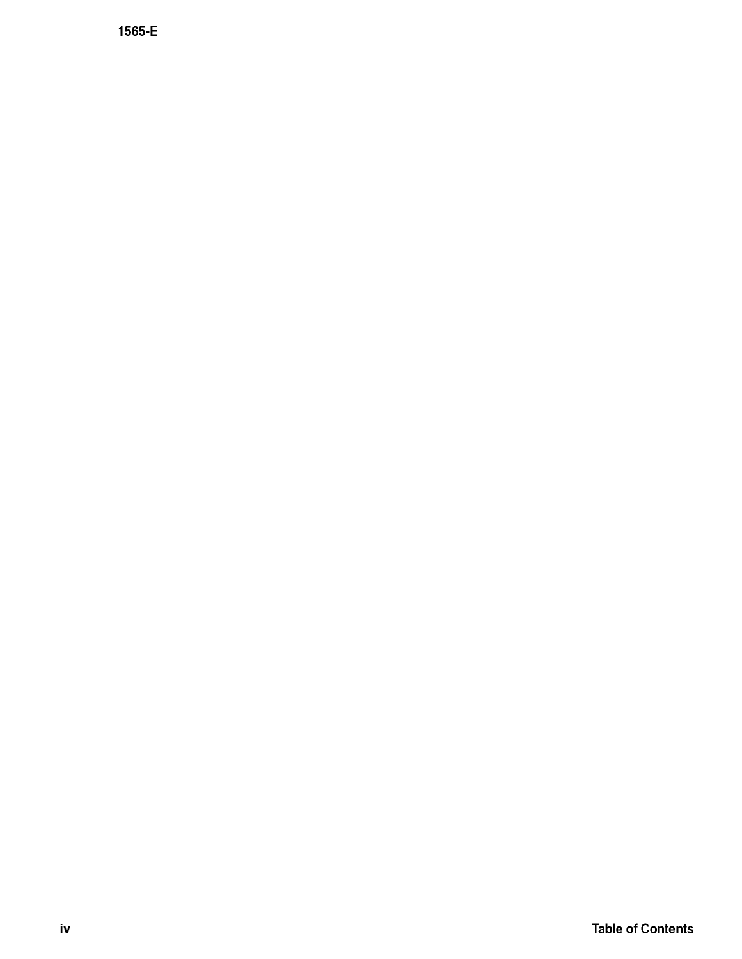1565-E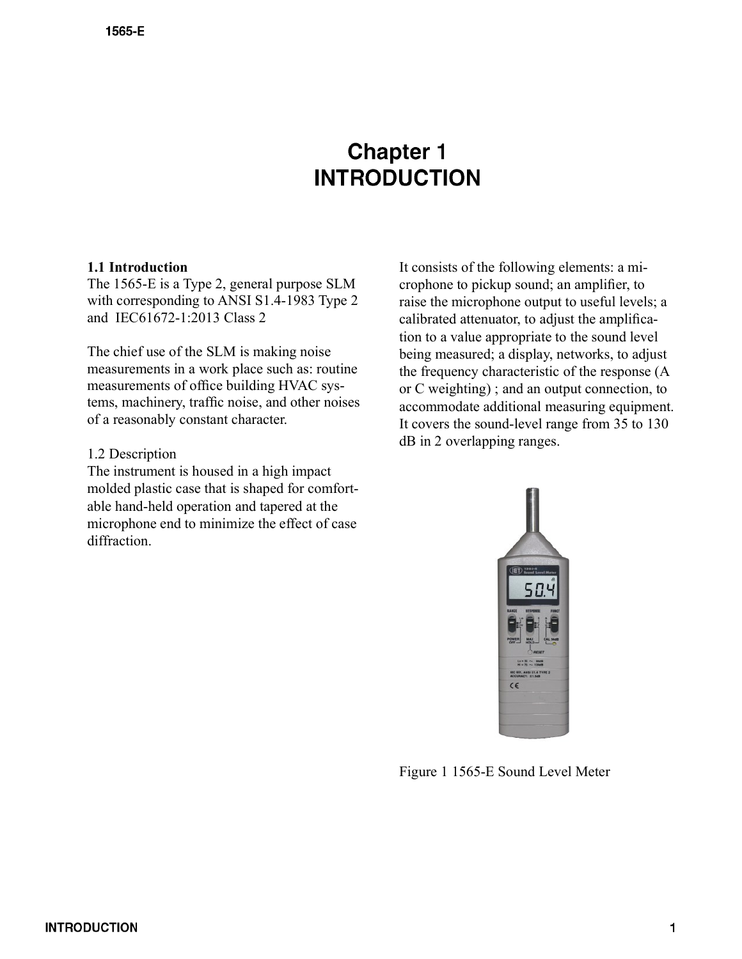# **Chapter 1 INTRODUCTION**

#### **1.1 Introduction**

The 1565-E is a Type 2, general purpose SLM with corresponding to ANSI S1.4-1983 Type 2 and IEC61672-1:2013 Class 2

The chief use of the SLM is making noise measurements in a work place such as: routine measurements of office building HVAC systems, machinery, traffic noise, and other noises of a reasonably constant character.

#### 1.2 Description

The instrument is housed in a high impact molded plastic case that is shaped for comfortable hand-held operation and tapered at the microphone end to minimize the effect of case diffraction.

It consists of the following elements: a microphone to pickup sound; an amplifier, to raise the microphone output to useful levels; a calibrated attenuator, to adjust the amplification to a value appropriate to the sound level being measured; a display, networks, to adjust the frequency characteristic of the response (A or C weighting) ; and an output connection, to accommodate additional measuring equipment. It covers the sound-level range from 35 to 130 dB in 2 overlapping ranges.



Figure 1 1565-E Sound Level Meter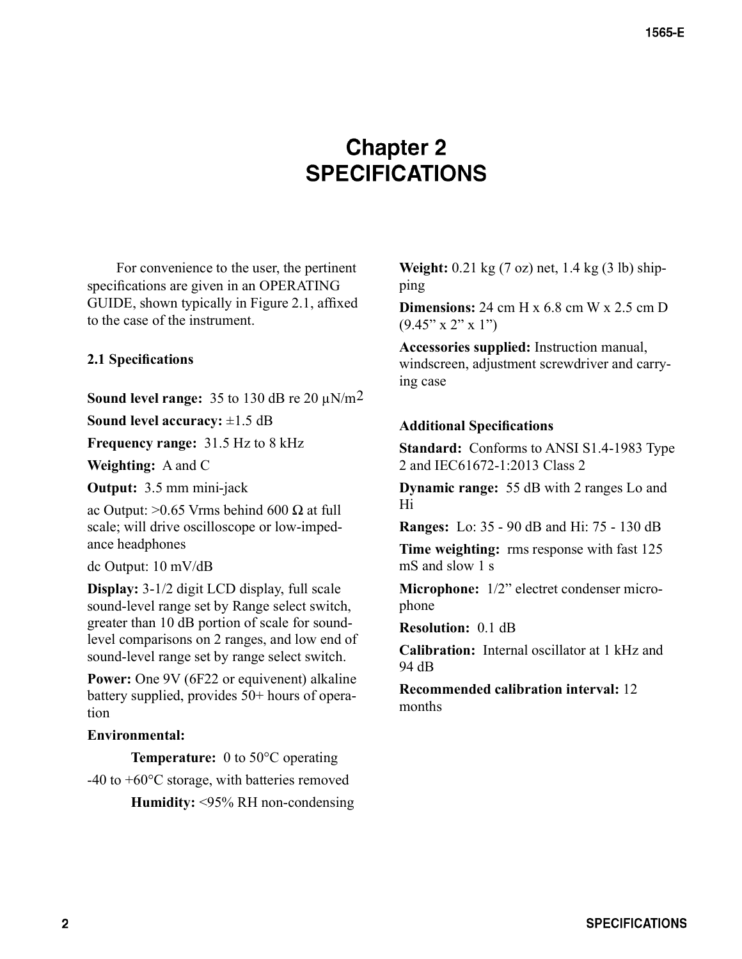# **Chapter 2 SPECIFICATIONS**

For convenience to the user, the pertinent specifications are given in an OPERATING GUIDE, shown typically in Figure 2.1, affixed to the case of the instrument.

#### **2.1 Specifications**

**Sound level range:** 35 to 130 dB re 20 µN/m2

**Sound level accuracy:** ±1.5 dB

**Frequency range:** 31.5 Hz to 8 kHz

**Weighting:** A and C

**Output:** 3.5 mm mini-jack

ac Output: >0.65 Vrms behind 600 Ω at full scale; will drive oscilloscope or low-impedance headphones

dc Output: 10 mV/dB

**Display:** 3-1/2 digit LCD display, full scale sound-level range set by Range select switch, greater than 10 dB portion of scale for soundlevel comparisons on 2 ranges, and low end of sound-level range set by range select switch.

**Power:** One 9V (6F22 or equivenent) alkaline battery supplied, provides 50+ hours of operation

#### **Environmental:**

 **Temperature:** 0 to 50°C operating

 $-40$  to  $+60^{\circ}$ C storage, with batteries removed  **Humidity:** <95% RH non-condensing

**Weight:** 0.21 kg (7 oz) net, 1.4 kg (3 lb) shipping

**Dimensions:** 24 cm H x 6.8 cm W x 2.5 cm D  $(9.45" \times 2" \times 1")$ 

**Accessories supplied:** Instruction manual, windscreen, adjustment screwdriver and carrying case

#### **Additional Specifications**

**Standard:** Conforms to ANSI S1.4-1983 Type 2 and IEC61672-1:2013 Class 2

**Dynamic range:** 55 dB with 2 ranges Lo and Hi

**Ranges:** Lo: 35 - 90 dB and Hi: 75 - 130 dB

**Time weighting:** rms response with fast 125 mS and slow 1 s

**Microphone:** 1/2" electret condenser microphone

**Resolution:** 0.1 dB

**Calibration:** Internal oscillator at 1 kHz and 94 dB

**Recommended calibration interval:** 12 months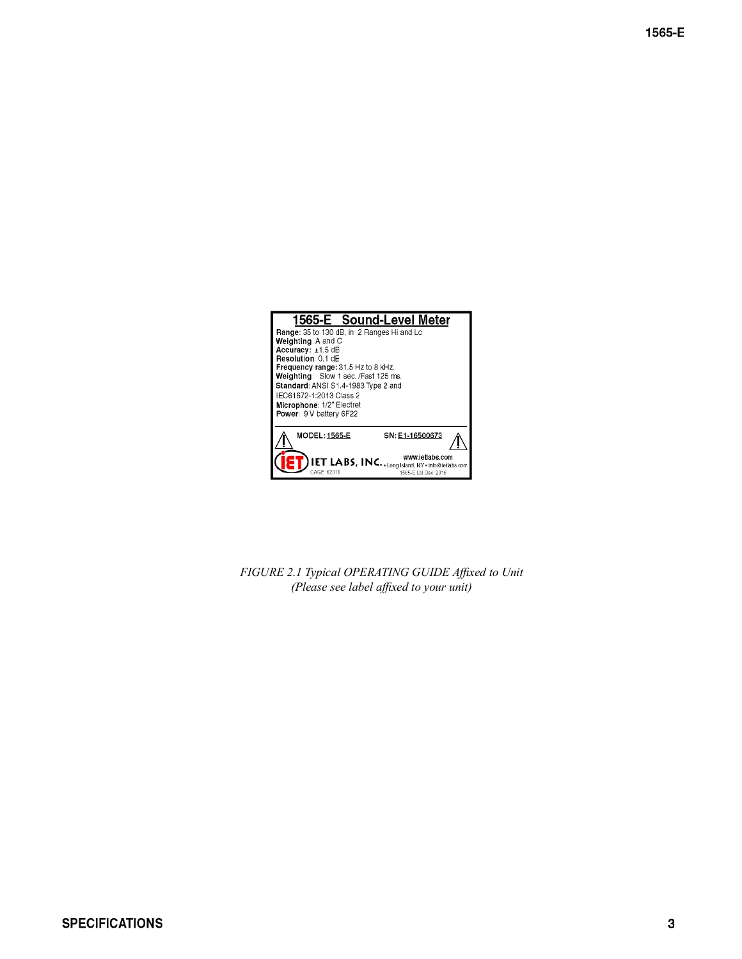

FIGURE 2.1 Typical OPERATING GUIDE Affixed to Unit *(Please see label affi xed to your unit)*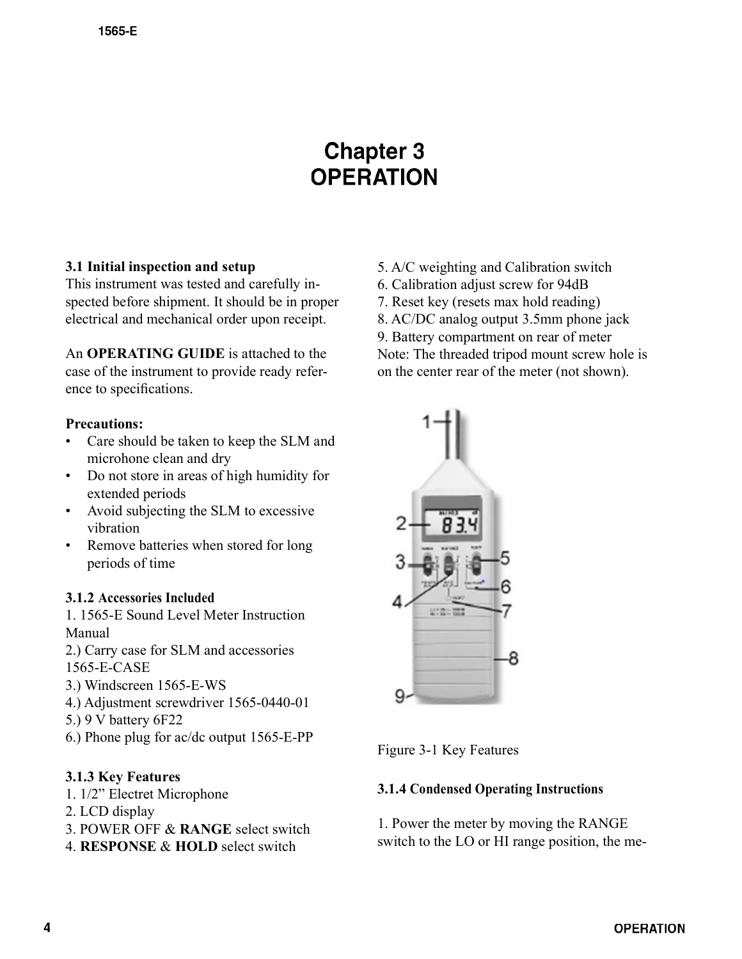# **Chapter 3 OPERATION**

#### **3.1 Initial inspection and setup**

This instrument was tested and carefully inspected before shipment. It should be in proper electrical and mechanical order upon receipt.

An **OPERATING GUIDE** is attached to the case of the instrument to provide ready reference to specifications.

#### **Precautions:**

- Care should be taken to keep the SLM and microhone clean and dry
- Do not store in areas of high humidity for extended periods
- Avoid subjecting the SLM to excessive vibration
- Remove batteries when stored for long periods of time

#### **3.1.2 Accessories Included**

1. 1565-E Sound Level Meter Instruction Manual

2.) Carry case for SLM and accessories 1565-E-CASE

- 3.) Windscreen 1565-E-WS
- 4.) Adjustment screwdriver 1565-0440-01
- 5.) 9 V battery 6F22
- 6.) Phone plug for ac/dc output 1565-E-PP

#### **3.1.3 Key Features**

- 1. 1/2" Electret Microphone
- 2. LCD display
- 3. POWER OFF & **RANGE** select switch
- 4. **RESPONSE** & **HOLD** select switch
- 5. A/C weighting and Calibration switch
- 6. Calibration adjust screw for 94dB
- 7. Reset key (resets max hold reading)
- 8. AC/DC analog output 3.5mm phone jack

9. Battery compartment on rear of meter Note: The threaded tripod mount screw hole is on the center rear of the meter (not shown).



Figure 3-1 Key Features

#### **3.1.4 Condensed Operating Instructions**

1. Power the meter by moving the RANGE switch to the LO or HI range position, the me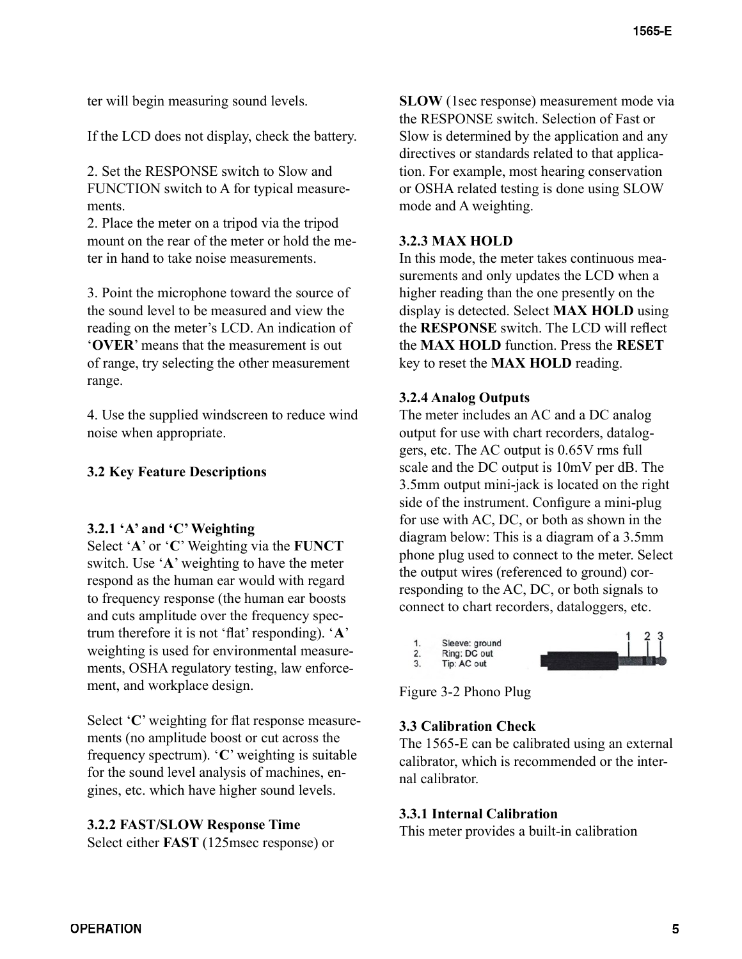ter will begin measuring sound levels.

If the LCD does not display, check the battery.

2. Set the RESPONSE switch to Slow and FUNCTION switch to A for typical measurements.

2. Place the meter on a tripod via the tripod mount on the rear of the meter or hold the meter in hand to take noise measurements.

3. Point the microphone toward the source of the sound level to be measured and view the reading on the meter's LCD. An indication of '**OVER**' means that the measurement is out of range, try selecting the other measurement range.

4. Use the supplied windscreen to reduce wind noise when appropriate.

### **3.2 Key Feature Descriptions**

#### **3.2.1 'A' and 'C' Weighting**

Select '**A**' or '**C**' Weighting via the **FUNCT** switch. Use '**A**' weighting to have the meter respond as the human ear would with regard to frequency response (the human ear boosts and cuts amplitude over the frequency spectrum therefore it is not 'flat' responding). 'A' weighting is used for environmental measurements, OSHA regulatory testing, law enforcement, and workplace design.

Select 'C' weighting for flat response measurements (no amplitude boost or cut across the frequency spectrum). '**C**' weighting is suitable for the sound level analysis of machines, engines, etc. which have higher sound levels.

#### **3.2.2 FAST/SLOW Response Time**

Select either **FAST** (125msec response) or

**SLOW** (1sec response) measurement mode via the RESPONSE switch. Selection of Fast or Slow is determined by the application and any directives or standards related to that application. For example, most hearing conservation or OSHA related testing is done using SLOW mode and A weighting.

#### **3.2.3 MAX HOLD**

In this mode, the meter takes continuous measurements and only updates the LCD when a higher reading than the one presently on the display is detected. Select **MAX HOLD** using the **RESPONSE** switch. The LCD will reflect the **MAX HOLD** function. Press the **RESET** key to reset the **MAX HOLD** reading.

#### **3.2.4 Analog Outputs**

The meter includes an AC and a DC analog output for use with chart recorders, dataloggers, etc. The AC output is 0.65V rms full scale and the DC output is 10mV per dB. The 3.5mm output mini-jack is located on the right side of the instrument. Configure a mini-plug for use with AC, DC, or both as shown in the diagram below: This is a diagram of a 3.5mm phone plug used to connect to the meter. Select the output wires (referenced to ground) corresponding to the AC, DC, or both signals to connect to chart recorders, dataloggers, etc.

| Sleeve: ground |  |
|----------------|--|
| Ring: DC out   |  |
| Tip: AC out    |  |

Figure 3-2 Phono Plug

## **3.3 Calibration Check**

The 1565-E can be calibrated using an external calibrator, which is recommended or the internal calibrator.

#### **3.3.1 Internal Calibration**

This meter provides a built-in calibration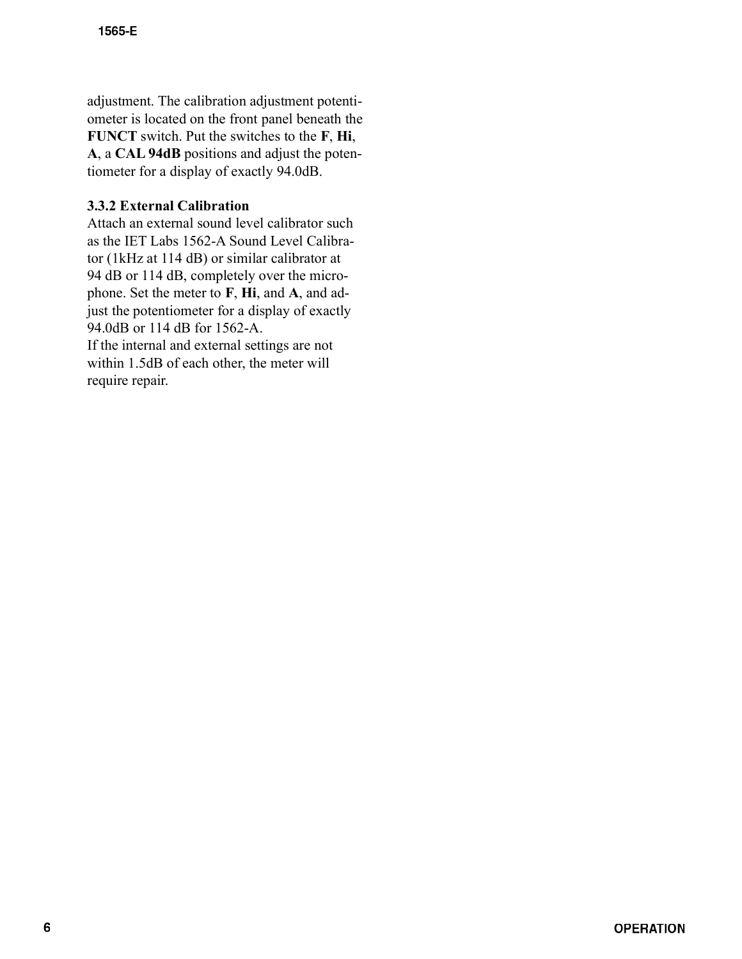adjustment. The calibration adjustment potentiometer is located on the front panel beneath the **FUNCT** switch. Put the switches to the **F**, **Hi**, **A**, a **CAL 94dB** positions and adjust the potentiometer for a display of exactly 94.0dB.

## **3.3.2 External Calibration**

Attach an external sound level calibrator such as the IET Labs 1562-A Sound Level Calibrator (1kHz at 114 dB) or similar calibrator at 94 dB or 114 dB, completely over the microphone. Set the meter to **F**, **Hi**, and **A**, and adjust the potentiometer for a display of exactly 94.0dB or 114 dB for 1562-A.

If the internal and external settings are not within 1.5dB of each other, the meter will require repair.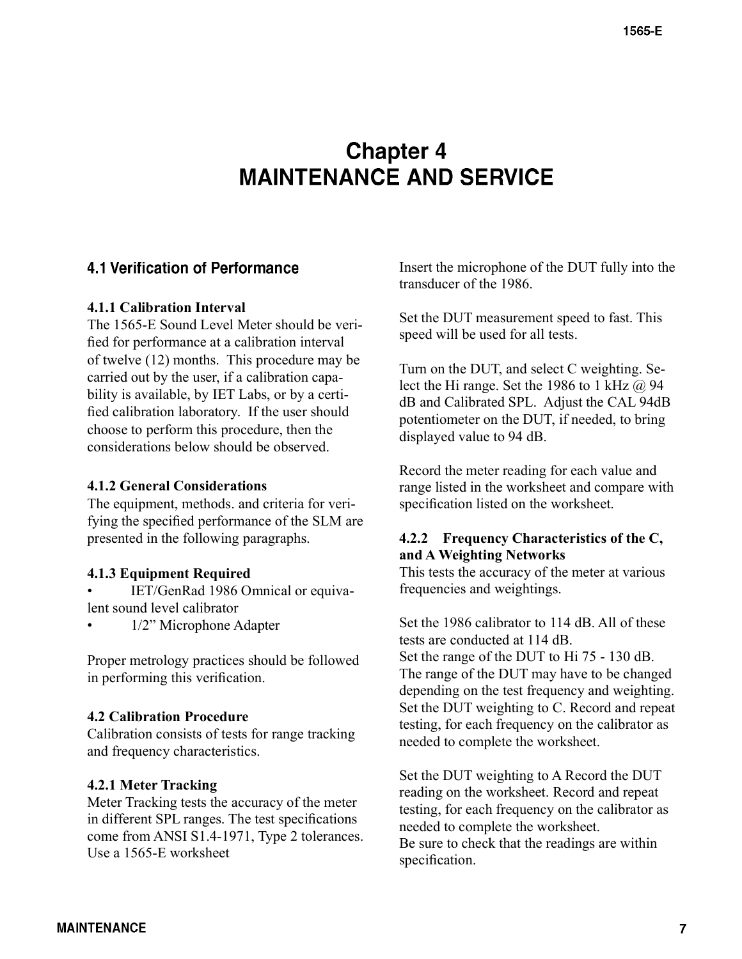# **Chapter 4 MAINTENANCE AND SERVICE**

## 4.1 Verification of Performance

## **4.1.1 Calibration Interval**

The 1565-E Sound Level Meter should be verified for performance at a calibration interval of twelve (12) months. This procedure may be carried out by the user, if a calibration capability is available, by IET Labs, or by a certified calibration laboratory. If the user should choose to perform this procedure, then the considerations below should be observed.

## **4.1.2 General Considerations**

The equipment, methods. and criteria for verifying the specified performance of the SLM are presented in the following paragraphs.

## **4.1.3 Equipment Required**

- IET/GenRad 1986 Omnical or equivalent sound level calibrator
- 1/2" Microphone Adapter

Proper metrology practices should be followed in performing this verification.

## **4.2 Calibration Procedure**

Calibration consists of tests for range tracking and frequency characteristics.

## **4.2.1 Meter Tracking**

Meter Tracking tests the accuracy of the meter in different SPL ranges. The test specifications come from ANSI S1.4-1971, Type 2 tolerances. Use a 1565-E worksheet

Insert the microphone of the DUT fully into the transducer of the 1986.

Set the DUT measurement speed to fast. This speed will be used for all tests.

Turn on the DUT, and select C weighting. Select the Hi range. Set the 1986 to 1 kHz  $\omega$  94 dB and Calibrated SPL. Adjust the CAL 94dB potentiometer on the DUT, if needed, to bring displayed value to 94 dB.

Record the meter reading for each value and range listed in the worksheet and compare with specification listed on the worksheet.

## **4.2.2 Frequency Characteristics of the C, and A Weighting Networks**

This tests the accuracy of the meter at various frequencies and weightings.

Set the 1986 calibrator to 114 dB. All of these tests are conducted at 114 dB. Set the range of the DUT to Hi 75 - 130 dB. The range of the DUT may have to be changed depending on the test frequency and weighting. Set the DUT weighting to C. Record and repeat testing, for each frequency on the calibrator as needed to complete the worksheet.

Set the DUT weighting to A Record the DUT reading on the worksheet. Record and repeat testing, for each frequency on the calibrator as needed to complete the worksheet. Be sure to check that the readings are within specification.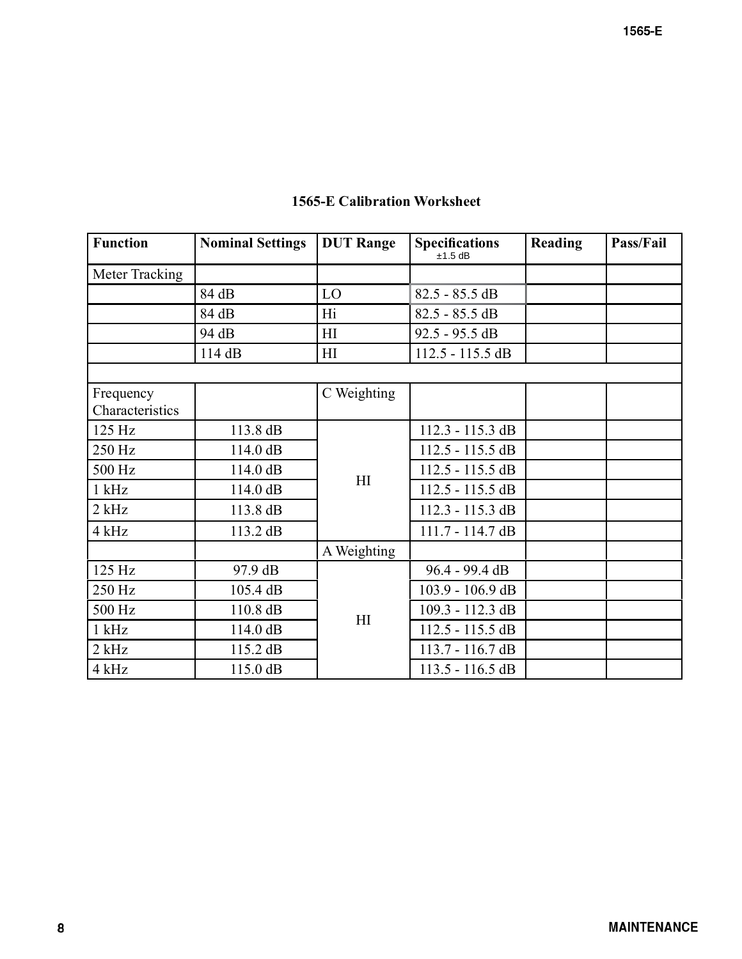| <b>Function</b> | <b>Nominal Settings</b> | <b>DUT Range</b> | <b>Specifications</b><br>$±1.5$ dB | <b>Reading</b> | Pass/Fail |
|-----------------|-------------------------|------------------|------------------------------------|----------------|-----------|
| Meter Tracking  |                         |                  |                                    |                |           |
|                 | 84 dB                   | LO               | $82.5 - 85.5$ dB                   |                |           |
|                 | 84 dB                   | Hi               | $82.5 - 85.5$ dB                   |                |           |
|                 | 94 dB                   | HI               | 92.5 - 95.5 dB                     |                |           |
|                 | 114 dB                  | H1               | 112.5 - 115.5 dB                   |                |           |
|                 |                         |                  |                                    |                |           |
| Frequency       |                         | C Weighting      |                                    |                |           |
| Characteristics |                         |                  |                                    |                |           |
| 125 Hz          | 113.8 dB                |                  | $112.3 - 115.3$ dB                 |                |           |
| 250 Hz          | 114.0 dB                | H <sub>I</sub>   | 112.5 - 115.5 dB                   |                |           |
| 500 Hz          | 114.0 dB                |                  | 112.5 - 115.5 dB                   |                |           |
| $1$ kHz         | 114.0 dB                |                  | 112.5 - 115.5 dB                   |                |           |
| $2$ kHz         | 113.8 dB                |                  | 112.3 - 115.3 dB                   |                |           |
| 4 kHz           | 113.2 dB                |                  | 111.7 - 114.7 dB                   |                |           |
|                 |                         | A Weighting      |                                    |                |           |
| 125 Hz          | 97.9 dB                 |                  | $96.4 - 99.4$ dB                   |                |           |
| 250 Hz          | 105.4 dB                | H                | 103.9 - 106.9 dB                   |                |           |
| 500 Hz          | 110.8 dB                |                  | 109.3 - 112.3 dB                   |                |           |
| $1$ kHz         | 114.0 dB                |                  | 112.5 - 115.5 dB                   |                |           |
| $2$ kHz         | 115.2 dB                |                  | 113.7 - 116.7 dB                   |                |           |
| 4 kHz           | 115.0 dB                |                  | $113.5 - 116.5$ dB                 |                |           |

## **1565-E Calibration Worksheet**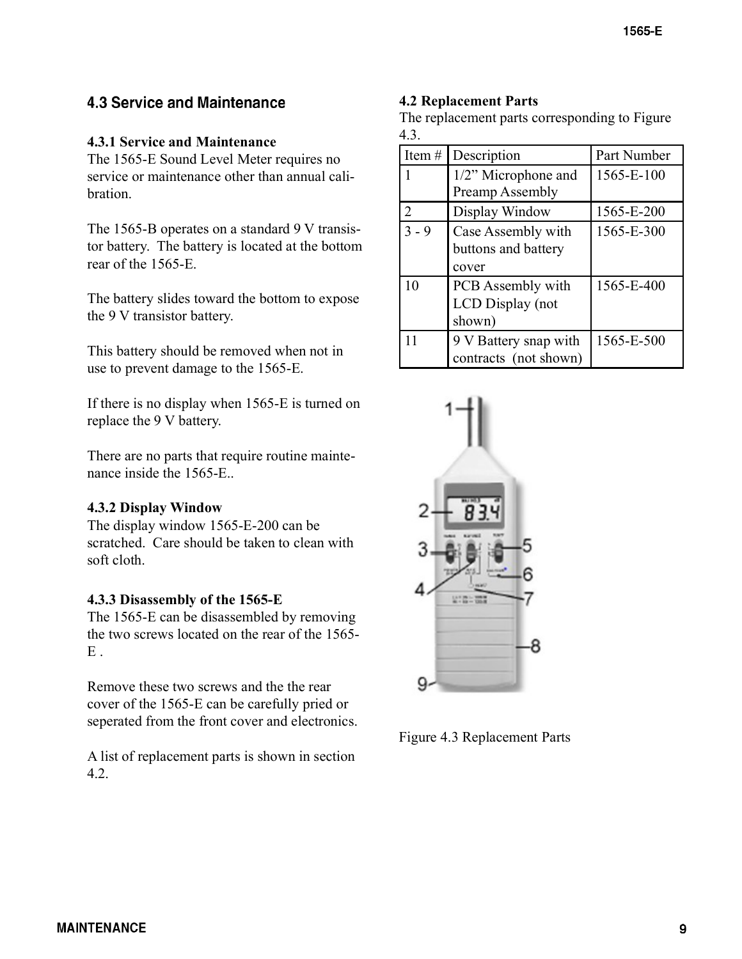## **4.3 Service and Maintenance**

### **4.3.1 Service and Maintenance**

The 1565-E Sound Level Meter requires no service or maintenance other than annual calibration.

The 1565-B operates on a standard 9 V transistor battery. The battery is located at the bottom rear of the 1565-E.

The battery slides toward the bottom to expose the 9 V transistor battery.

This battery should be removed when not in use to prevent damage to the 1565-E.

If there is no display when 1565-E is turned on replace the 9 V battery.

There are no parts that require routine maintenance inside the 1565-E..

## **4.3.2 Display Window**

The display window 1565-E-200 can be scratched. Care should be taken to clean with soft cloth.

## **4.3.3 Disassembly of the 1565-E**

The 1565-E can be disassembled by removing the two screws located on the rear of the 1565-  $E$ .

Remove these two screws and the the rear cover of the 1565-E can be carefully pried or seperated from the front cover and electronics.

A list of replacement parts is shown in section 4.2.

## **4.2 Replacement Parts**

The replacement parts corresponding to Figure 4.3.

| Item#                       | Description             | Part Number |  |
|-----------------------------|-------------------------|-------------|--|
|                             | $1/2$ " Microphone and  | 1565-E-100  |  |
|                             | Preamp Assembly         |             |  |
| $\mathcal{D}_{\mathcal{A}}$ | Display Window          | 1565-E-200  |  |
| $3 - 9$                     | Case Assembly with      | 1565-E-300  |  |
|                             | buttons and battery     |             |  |
|                             | cover                   |             |  |
| 10                          | PCB Assembly with       | 1565-E-400  |  |
|                             | <b>LCD</b> Display (not |             |  |
|                             | shown)                  |             |  |
| 11                          | 9 V Battery snap with   | 1565-E-500  |  |
|                             | contracts (not shown)   |             |  |



Figure 4.3 Replacement Parts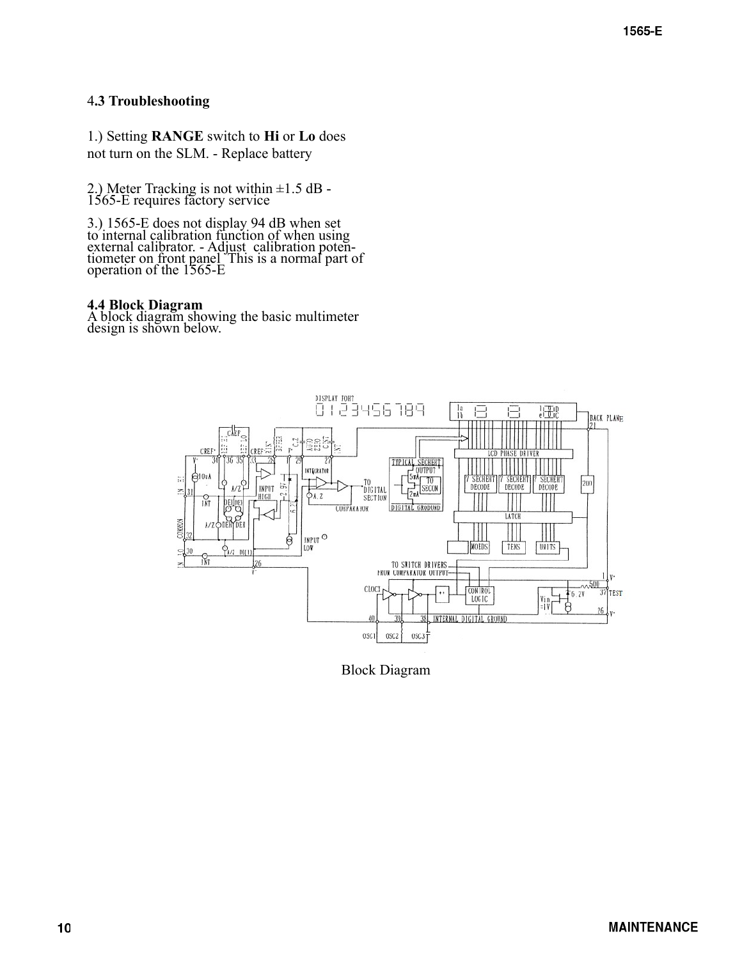#### 4**.3 Troubleshooting**

1.) Setting **RANGE** switch to **Hi** or **Lo** does not turn on the SLM. - Replace battery

2.) Meter Tracking is not within  $\pm 1.5$  dB -1565-E requires factory service

3.) 1565-E does not display 94 dB when set<br>to internal calibration function of when using<br>external calibrator. - Adjust calibration poten-<br>tiometer on front panel This is a normal part of<br>operation of the 1565-E

#### **4.4 Block Diagram**

A block diagram showing the basic multimeter design is shown below.



Block Diagram